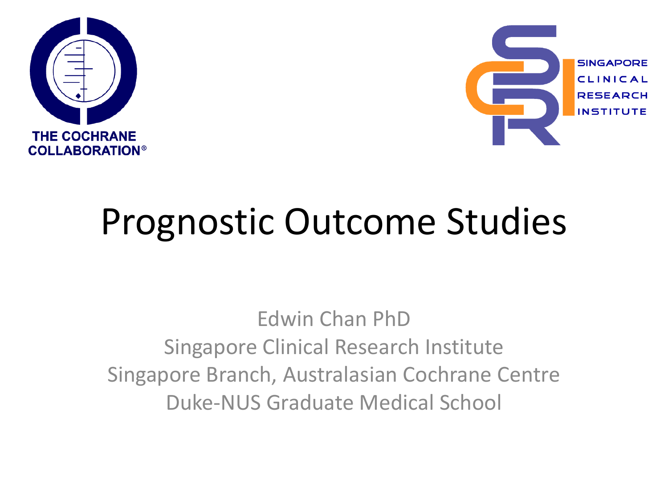



# Prognostic Outcome Studies

Edwin Chan PhD Singapore Clinical Research Institute Singapore Branch, Australasian Cochrane Centre Duke-NUS Graduate Medical School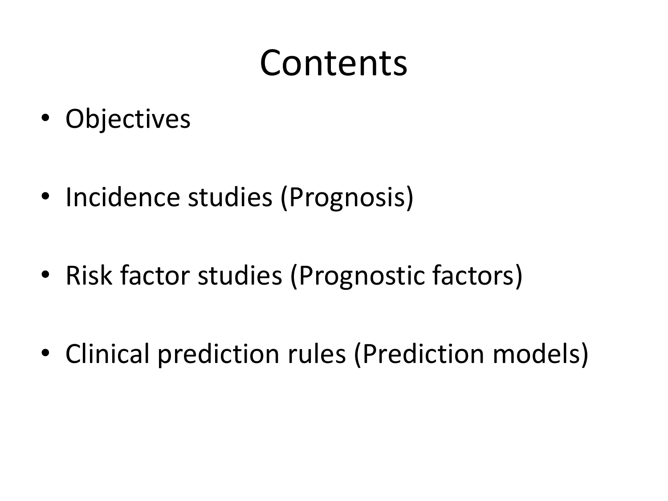### Contents

- Objectives
- Incidence studies (Prognosis)
- Risk factor studies (Prognostic factors)
- Clinical prediction rules (Prediction models)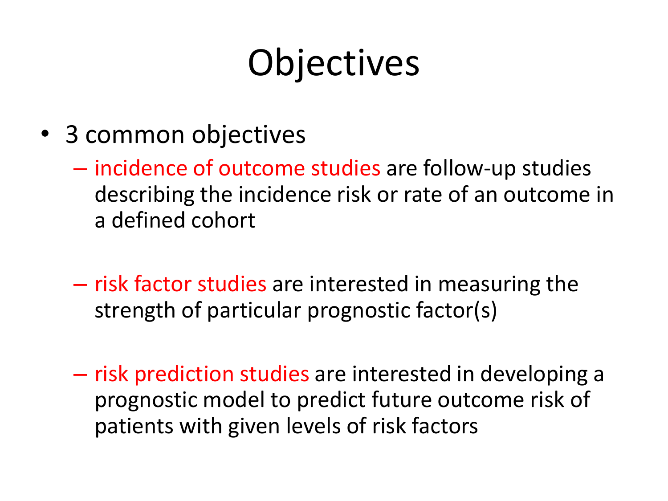# **Objectives**

- 3 common objectives
	- incidence of outcome studies are follow-up studies describing the incidence risk or rate of an outcome in a defined cohort
	- risk factor studies are interested in measuring the strength of particular prognostic factor(s)
	- risk prediction studies are interested in developing a prognostic model to predict future outcome risk of patients with given levels of risk factors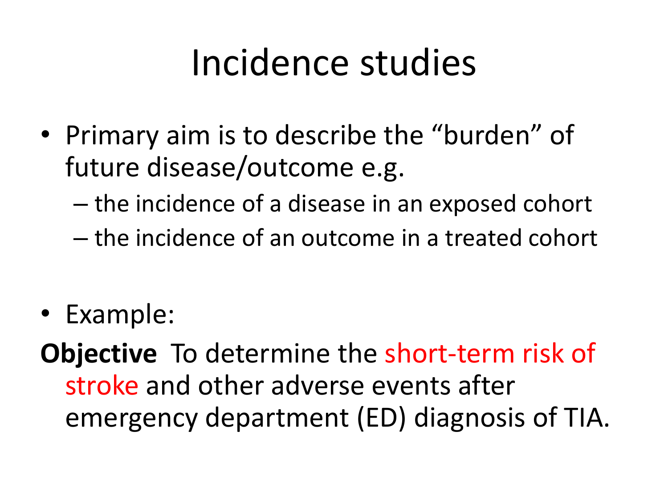### Incidence studies

- Primary aim is to describe the "burden" of future disease/outcome e.g.
	- the incidence of a disease in an exposed cohort
	- the incidence of an outcome in a treated cohort
- Example:

**Objective** To determine the short-term risk of stroke and other adverse events after emergency department (ED) diagnosis of TIA.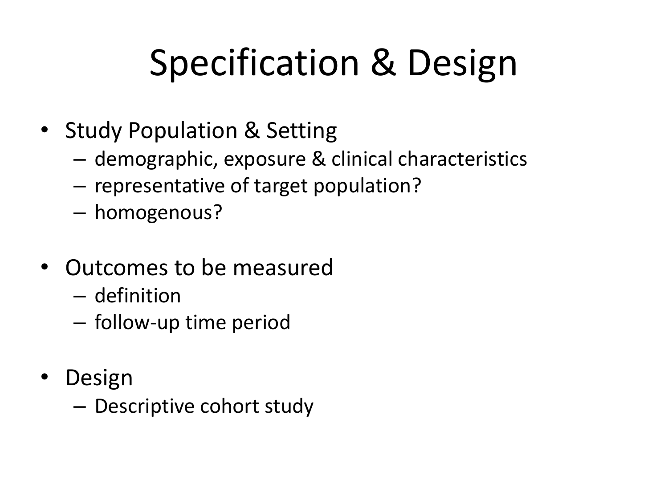# Specification & Design

- Study Population & Setting
	- demographic, exposure & clinical characteristics
	- representative of target population?
	- homogenous?
- Outcomes to be measured
	- definition
	- follow-up time period
- **Design** 
	- Descriptive cohort study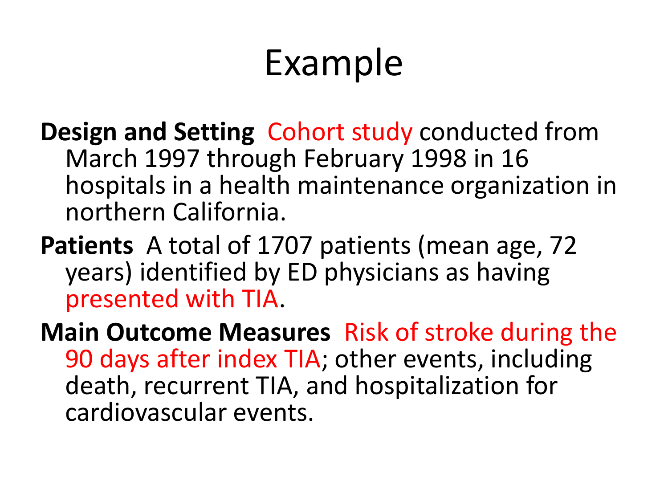# Example

- **Design and Setting** Cohort study conducted from March 1997 through February 1998 in 16 hospitals in a health maintenance organization in northern California.
- **Patients** A total of 1707 patients (mean age, 72 years) identified by ED physicians as having presented with TIA.
- **Main Outcome Measures** Risk of stroke during the 90 days after index TIA; other events, including death, recurrent TIA, and hospitalization for cardiovascular events.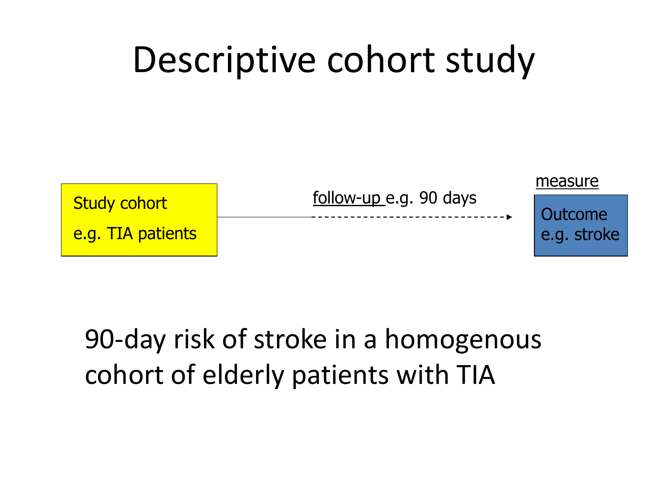### Descriptive cohort study



#### 90-day risk of stroke in a homogenous cohort of elderly patients with TIA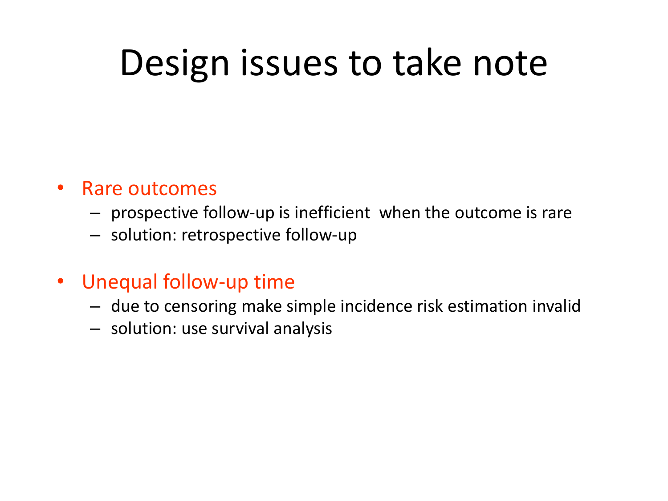### Design issues to take note

#### • Rare outcomes

- prospective follow-up is inefficient when the outcome is rare
- solution: retrospective follow-up
- Unequal follow-up time
	- due to censoring make simple incidence risk estimation invalid
	- solution: use survival analysis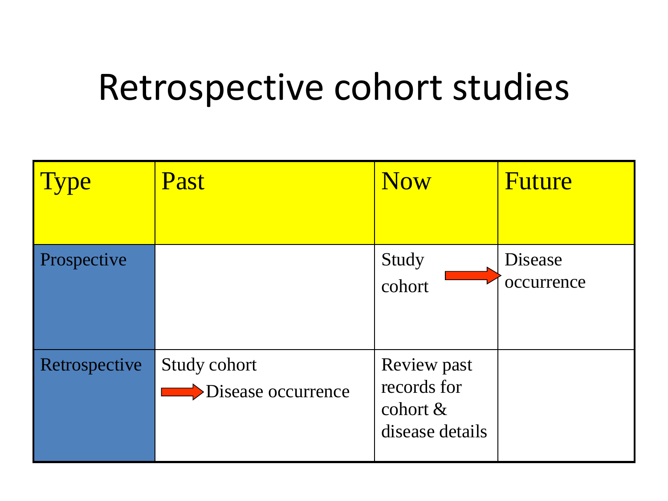### Retrospective cohort studies

| ype                | Past                                             | <b>Now</b>                                                   | Future                |
|--------------------|--------------------------------------------------|--------------------------------------------------------------|-----------------------|
| <b>Prospective</b> |                                                  | Study<br>cohort                                              | Disease<br>occurrence |
| Retrospective      | Study cohort<br>$\rightarrow$ Disease occurrence | Review past<br>records for<br>cohort $\&$<br>disease details |                       |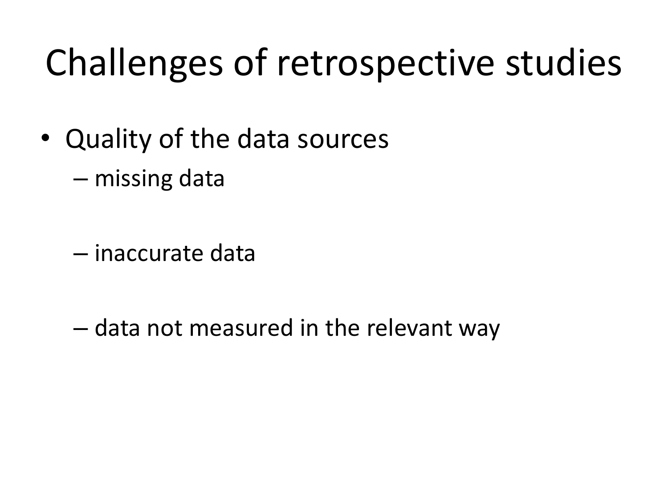# Challenges of retrospective studies

- Quality of the data sources
	- missing data
	- inaccurate data
	- data not measured in the relevant way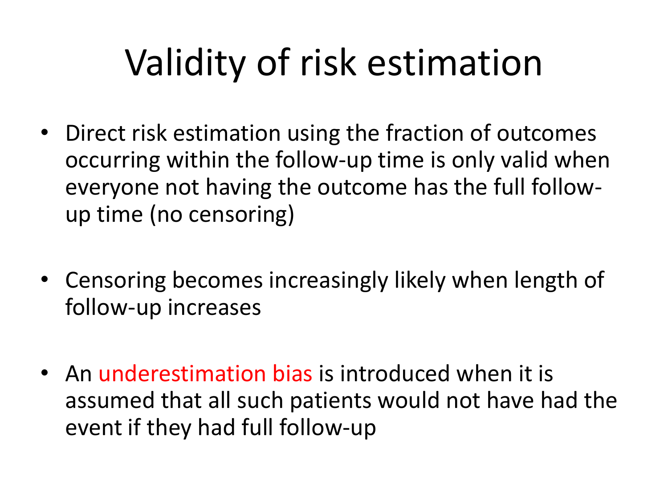# Validity of risk estimation

- Direct risk estimation using the fraction of outcomes occurring within the follow-up time is only valid when everyone not having the outcome has the full followup time (no censoring)
- Censoring becomes increasingly likely when length of follow-up increases
- An underestimation bias is introduced when it is assumed that all such patients would not have had the event if they had full follow-up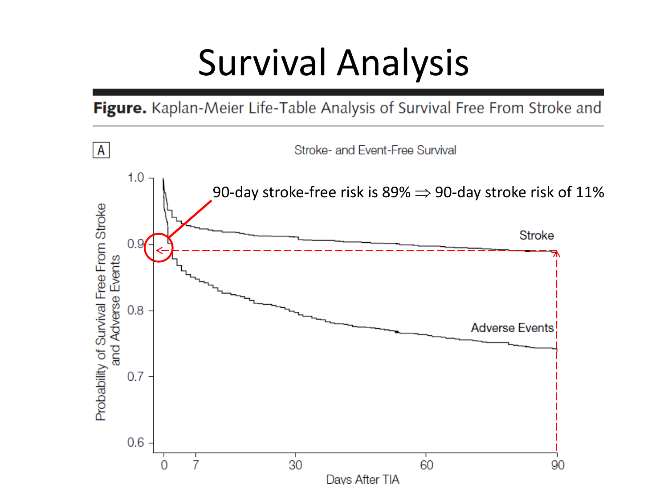### Survival Analysis

Figure. Kaplan-Meier Life-Table Analysis of Survival Free From Stroke and

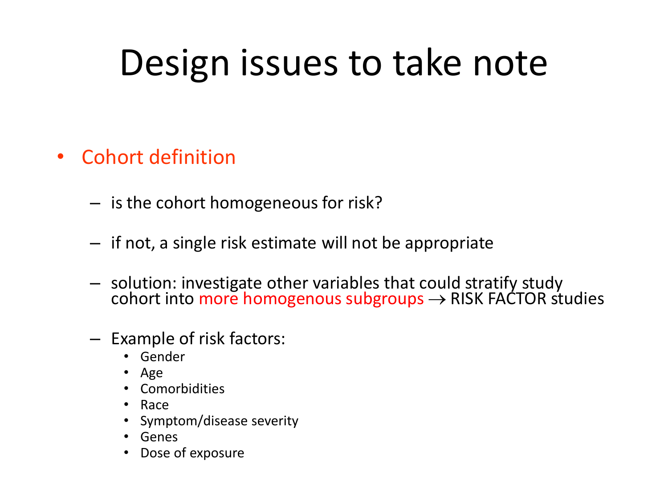# Design issues to take note

- Cohort definition
	- is the cohort homogeneous for risk?
	- if not, a single risk estimate will not be appropriate
	- solution: investigate other variables that could stratify study cohort into more homogenous subgroups  $\rightarrow$  RISK FACTOR studies
	- Example of risk factors:
		- Gender
		- Age
		- Comorbidities
		- Race
		- Symptom/disease severity
		- Genes
		- Dose of exposure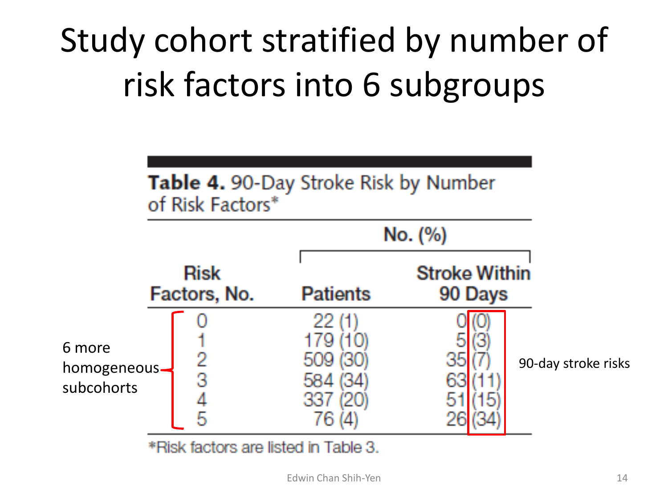### Study cohort stratified by number of risk factors into 6 subgroups



\*Risk factors are listed in Table 3.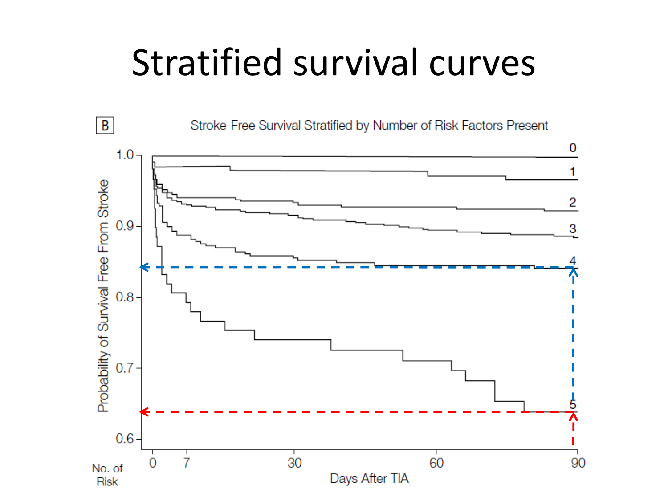### Stratified survival curves

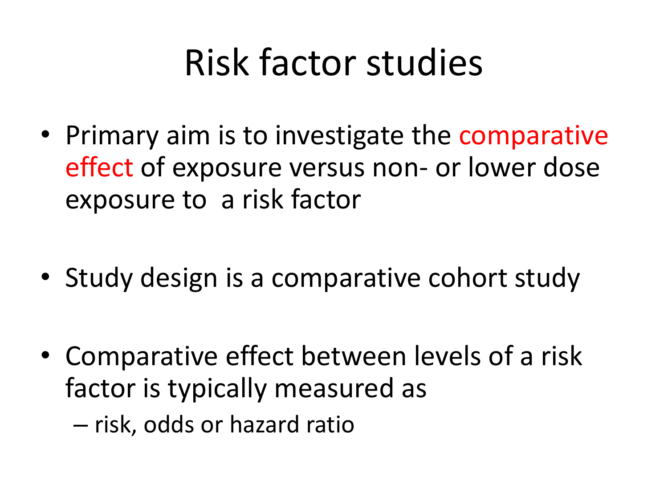# Risk factor studies

- Primary aim is to investigate the comparative effect of exposure versus non- or lower dose exposure to a risk factor
- Study design is a comparative cohort study
- Comparative effect between levels of a risk factor is typically measured as
	- risk, odds or hazard ratio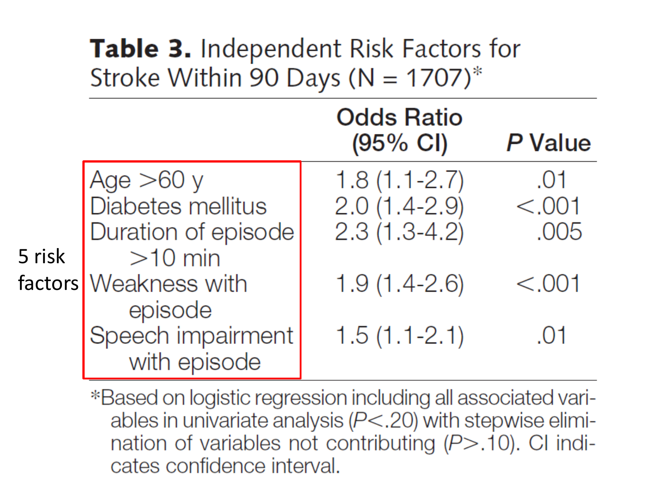#### **Table 3.** Independent Risk Factors for Stroke Within 90 Days ( $N = 1707$ )\*

|        |                                                                                                                                               | <b>Odds Ratio</b><br>$(95% \text{ Cl})$                                                  | P Value                                 |
|--------|-----------------------------------------------------------------------------------------------------------------------------------------------|------------------------------------------------------------------------------------------|-----------------------------------------|
| 5 risk | Age $>60 y$<br>Diabetes mellitus<br>Duration of episode<br>$>10$ min<br>factors Weakness with<br>episode<br>Speech impairment<br>with episode | $1.8(1.1 - 2.7)$<br>$2.0(1.4-2.9)$<br>$2.3(1.3-4.2)$<br>$1.9(1.4-2.6)$<br>$1.5(1.1-2.1)$ | .01<br>< .001<br>.005<br>< 0.001<br>.01 |

\*Based on logistic regression including all associated variables in univariate analysis  $(P<.20)$  with stepwise elimination of variables not contributing  $(P > .10)$ . CI indicates confidence interval.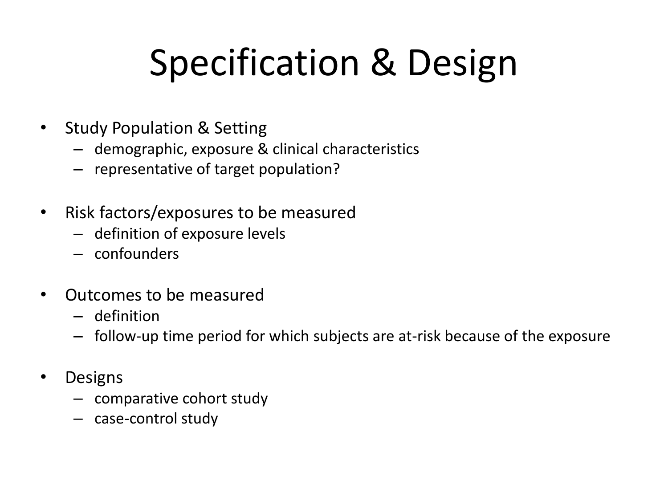# Specification & Design

- Study Population & Setting
	- demographic, exposure & clinical characteristics
	- representative of target population?
- Risk factors/exposures to be measured
	- definition of exposure levels
	- confounders
- Outcomes to be measured
	- definition
	- follow-up time period for which subjects are at-risk because of the exposure
- Designs
	- comparative cohort study
	- case-control study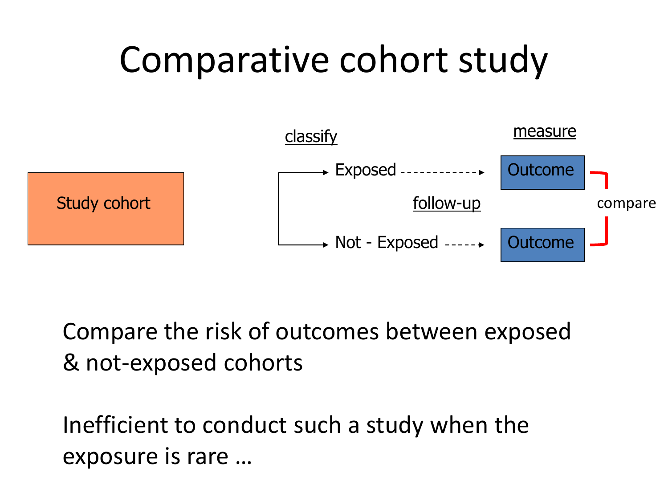### Comparative cohort study



Compare the risk of outcomes between exposed & not-exposed cohorts

Inefficient to conduct such a study when the exposure is rare …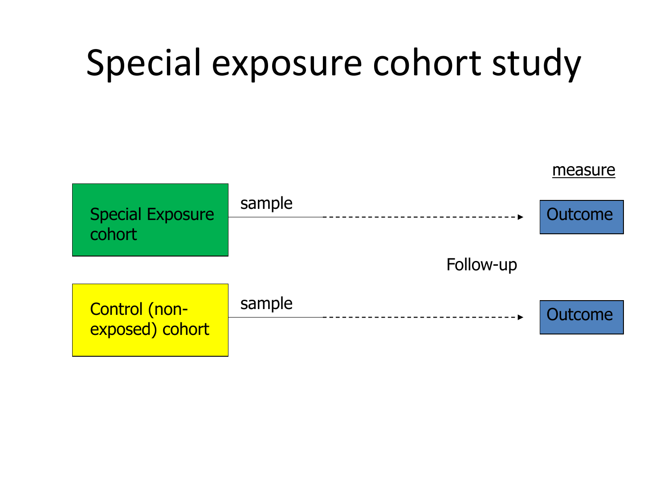### Special exposure cohort study

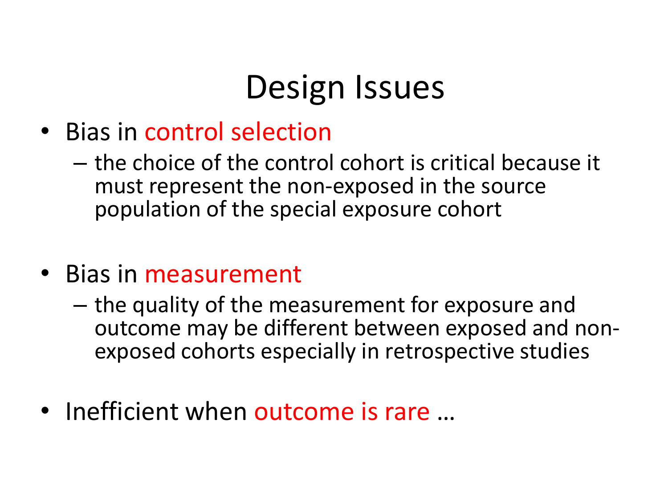### Design Issues

- Bias in control selection
	- the choice of the control cohort is critical because it must represent the non-exposed in the source population of the special exposure cohort
- Bias in measurement
	- the quality of the measurement for exposure and outcome may be different between exposed and nonexposed cohorts especially in retrospective studies
- Inefficient when outcome is rare ...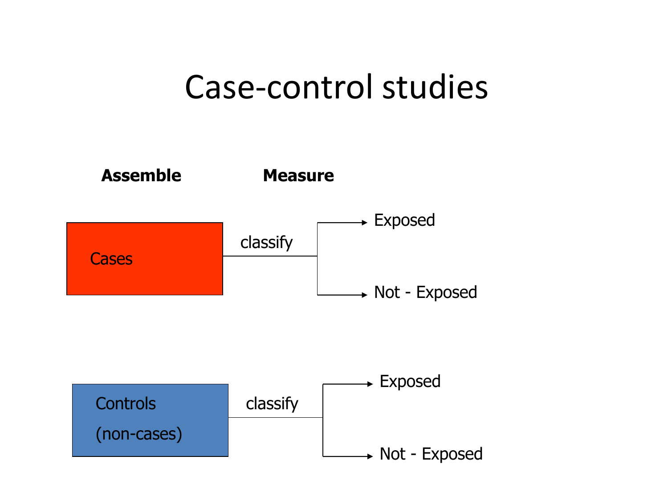#### Case-control studies

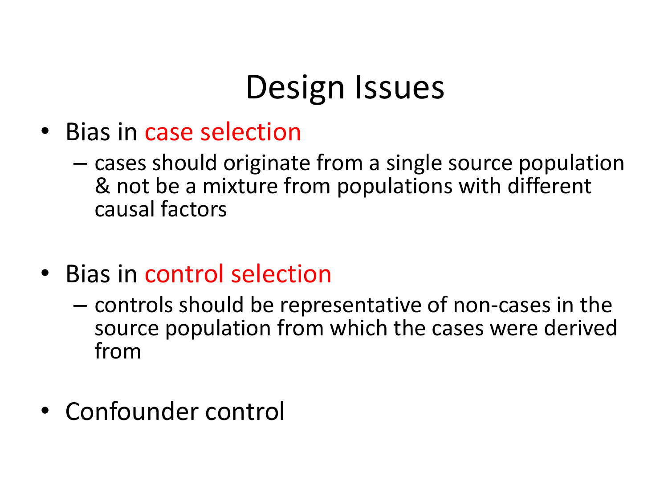### Design Issues

- Bias in case selection
	- cases should originate from a single source population & not be a mixture from populations with different causal factors
- Bias in control selection
	- controls should be representative of non-cases in the source population from which the cases were derived from
- Confounder control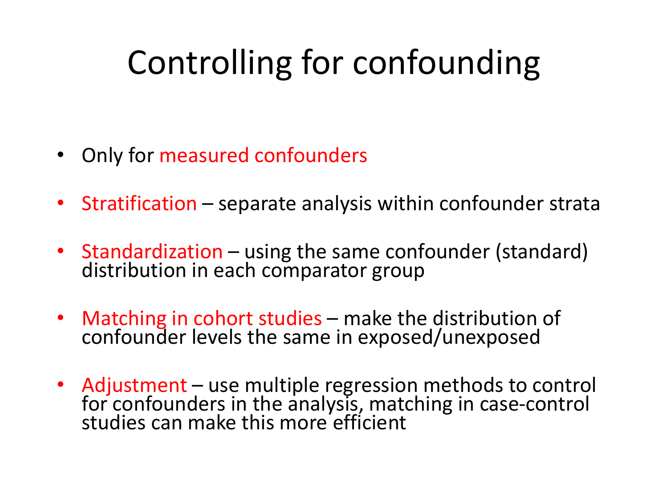### Controlling for confounding

- Only for measured confounders
- Stratification separate analysis within confounder strata
- Standardization using the same confounder (standard) distribution in each comparator group
- Matching in cohort studies make the distribution of confounder levels the same in exposed/unexposed
- Adjustment use multiple regression methods to control for confounders in the analysis, matching in case-control studies can make this more efficient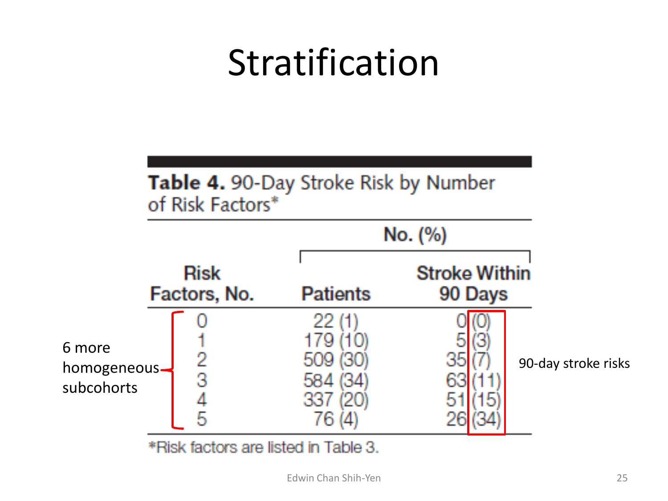### Stratification

#### Table 4. 90-Day Stroke Risk by Number of Risk Factors\*



\*Risk factors are listed in Table 3.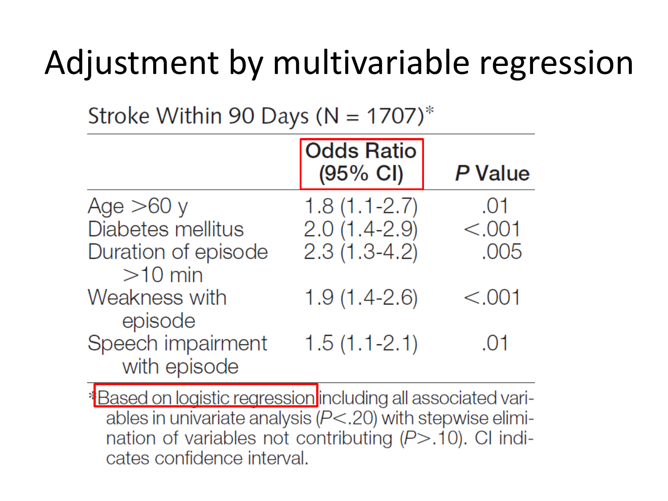### Adjustment by multivariable regression

Stroke Within 90 Days ( $N = 1707$ )\*

|                                   | <b>Odds Ratio</b><br>(95% CI) | P Value |
|-----------------------------------|-------------------------------|---------|
| Age $>60$ y                       | $1.8(1.1 - 2.7)$              | .01     |
| Diabetes mellitus                 | $2.0(1.4-2.9)$                | < .001  |
| Duration of episode<br>$>10$ min  | $2.3(1.3-4.2)$                | .005    |
| Weakness with<br>episode          | $1.9(1.4-2.6)$                | < .001  |
| Speech impairment<br>with episode | $1.5(1.1-2.1)$                | .01     |

**\*Based on logistic regression including all associated vari**ables in univariate analysis  $(P<.20)$  with stepwise elimination of variables not contributing  $(P > .10)$ . CI indicates confidence interval.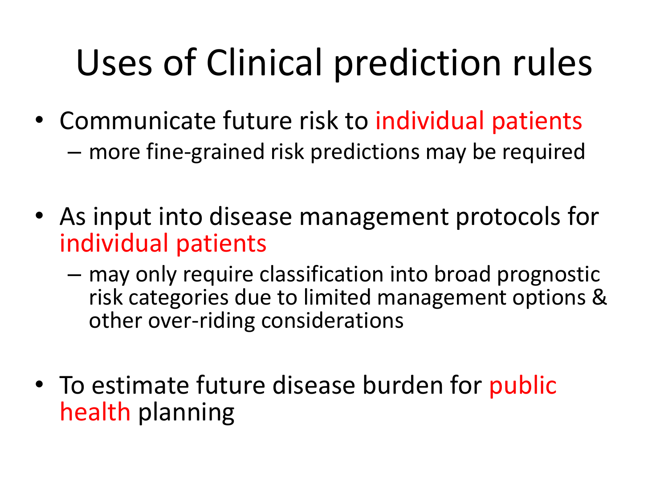# Uses of Clinical prediction rules

- Communicate future risk to individual patients – more fine-grained risk predictions may be required
- As input into disease management protocols for individual patients
	- may only require classification into broad prognostic risk categories due to limited management options & other over-riding considerations
- To estimate future disease burden for public health planning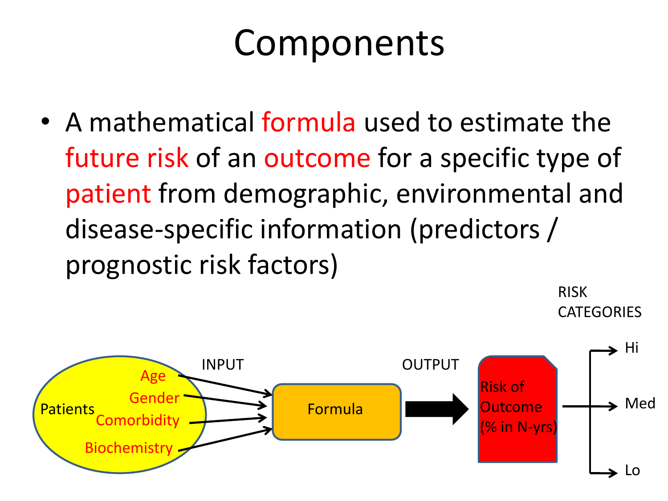### Components

• A mathematical formula used to estimate the future risk of an outcome for a specific type of patient from demographic, environmental and disease-specific information (predictors / prognostic risk factors)

> RISK **CATEGORIES**

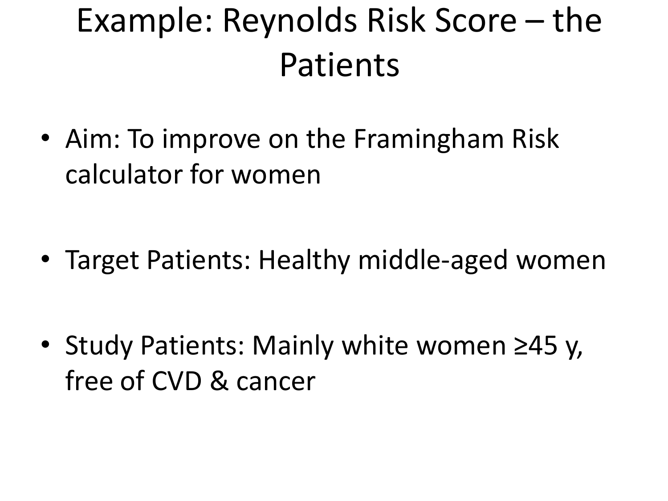### Example: Reynolds Risk Score – the Patients

• Aim: To improve on the Framingham Risk calculator for women

• Target Patients: Healthy middle-aged women

• Study Patients: Mainly white women ≥45 y, free of CVD & cancer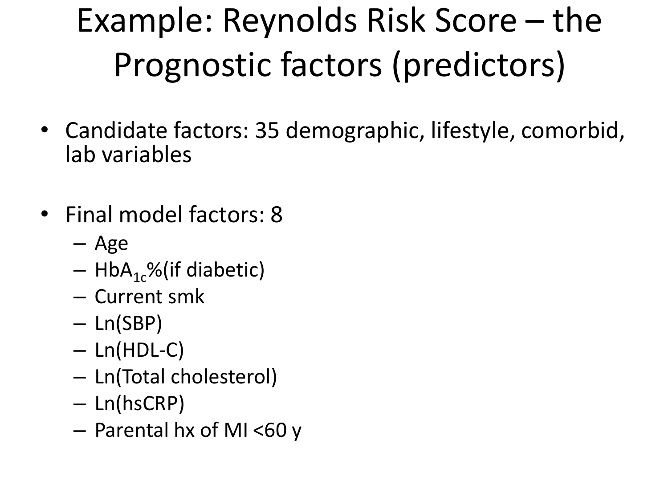# Example: Reynolds Risk Score – the Prognostic factors (predictors)

- Candidate factors: 35 demographic, lifestyle, comorbid, lab variables
- Final model factors: 8
	- Age
	- $-$  HbA<sub>1c</sub>%(if diabetic)
	- Current smk
	- Ln(SBP)
	- Ln(HDL-C)
	- Ln(Total cholesterol)
	- Ln(hsCRP)
	- Parental hx of MI <60 y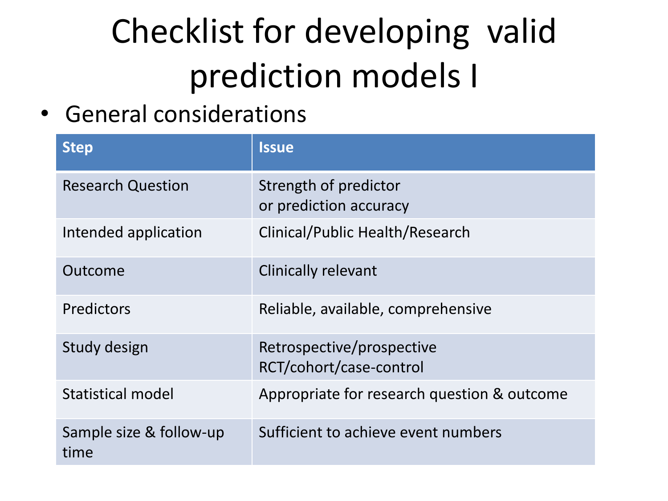# Checklist for developing valid prediction models I

• General considerations

| <b>Step</b>                     | <b>Issue</b>                                         |
|---------------------------------|------------------------------------------------------|
| <b>Research Question</b>        | Strength of predictor<br>or prediction accuracy      |
| Intended application            | Clinical/Public Health/Research                      |
| Outcome                         | <b>Clinically relevant</b>                           |
| Predictors                      | Reliable, available, comprehensive                   |
| Study design                    | Retrospective/prospective<br>RCT/cohort/case-control |
| Statistical model               | Appropriate for research question & outcome          |
| Sample size & follow-up<br>time | Sufficient to achieve event numbers                  |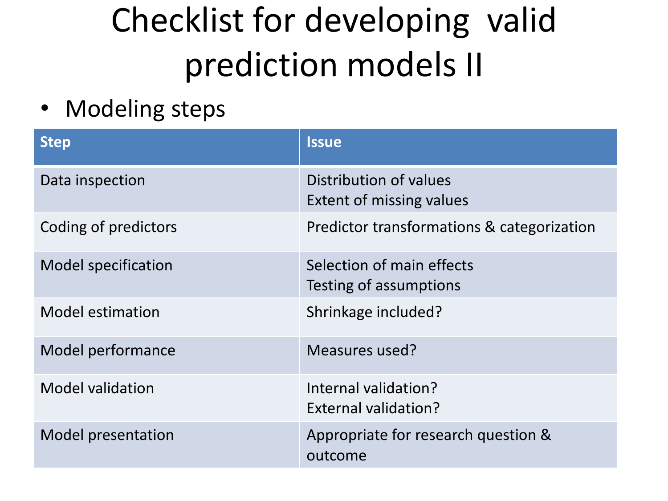### Checklist for developing valid prediction models II

• Modeling steps

| <b>Step</b>                | <b>Issue</b>                                              |
|----------------------------|-----------------------------------------------------------|
| Data inspection            | Distribution of values<br><b>Extent of missing values</b> |
| Coding of predictors       | Predictor transformations & categorization                |
| <b>Model specification</b> | Selection of main effects<br>Testing of assumptions       |
| <b>Model estimation</b>    | Shrinkage included?                                       |
| Model performance          | Measures used?                                            |
| <b>Model validation</b>    | Internal validation?<br>External validation?              |
| Model presentation         | Appropriate for research question &<br>outcome            |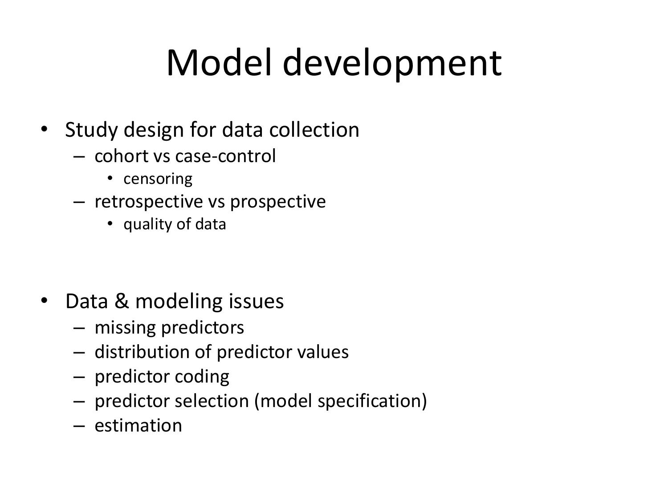# Model development

- Study design for data collection
	- cohort vs case-control
		- censoring
	- retrospective vs prospective
		- quality of data

- Data & modeling issues
	- missing predictors
	- distribution of predictor values
	- predictor coding
	- predictor selection (model specification)
	- estimation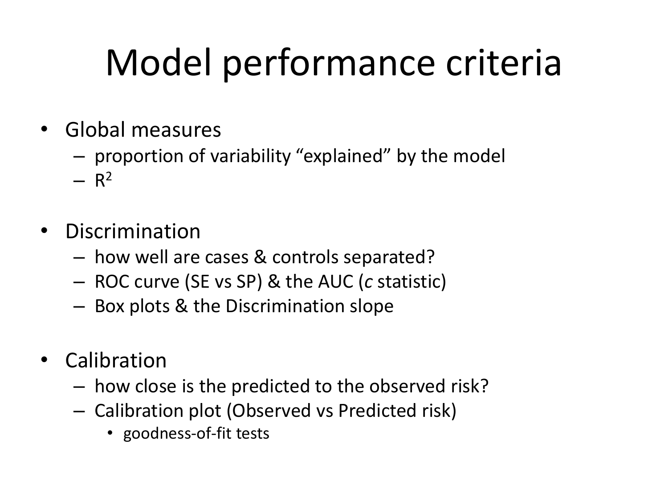# Model performance criteria

- Global measures
	- proportion of variability "explained" by the model
	- $R^2$
- Discrimination
	- how well are cases & controls separated?
	- ROC curve (SE vs SP) & the AUC (*c* statistic)
	- Box plots & the Discrimination slope
- Calibration
	- how close is the predicted to the observed risk?
	- Calibration plot (Observed vs Predicted risk)
		- goodness-of-fit tests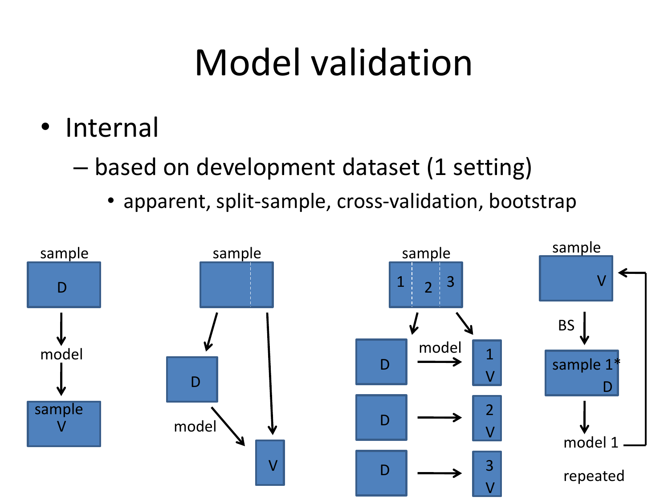## Model validation

- Internal
	- based on development dataset (1 setting)
		- apparent, split-sample, cross-validation, bootstrap

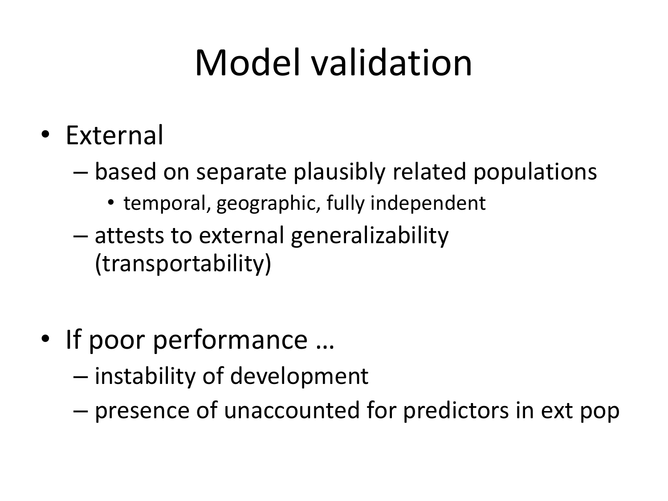# Model validation

- External
	- based on separate plausibly related populations
		- temporal, geographic, fully independent
	- attests to external generalizability (transportability)
- If poor performance ...
	- instability of development
	- presence of unaccounted for predictors in ext pop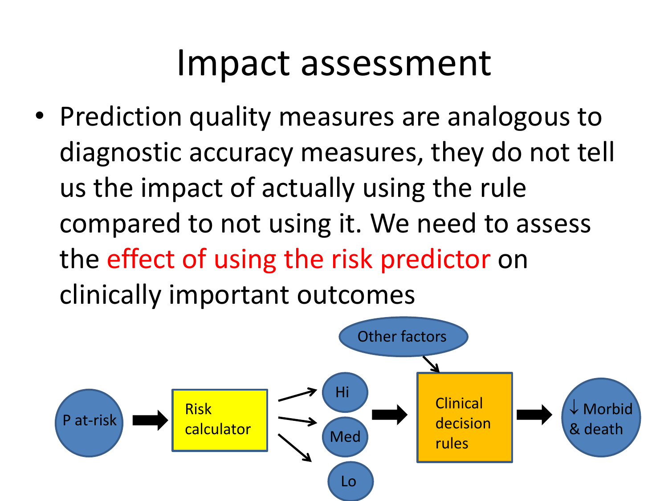### Impact assessment

• Prediction quality measures are analogous to diagnostic accuracy measures, they do not tell us the impact of actually using the rule compared to not using it. We need to assess the effect of using the risk predictor on clinically important outcomes

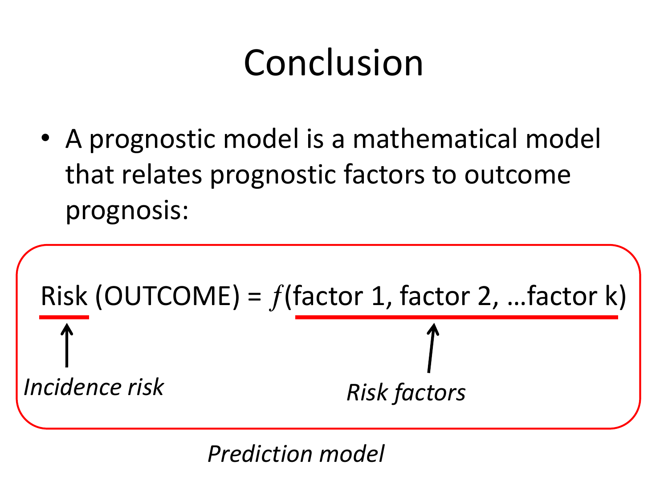# Conclusion

• A prognostic model is a mathematical model that relates prognostic factors to outcome prognosis:



*Prediction model*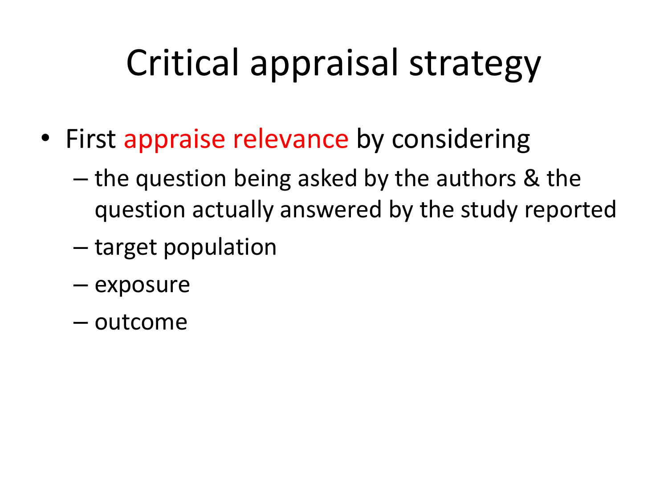# Critical appraisal strategy

- First appraise relevance by considering
	- the question being asked by the authors & the question actually answered by the study reported
	- target population
	- exposure
	- outcome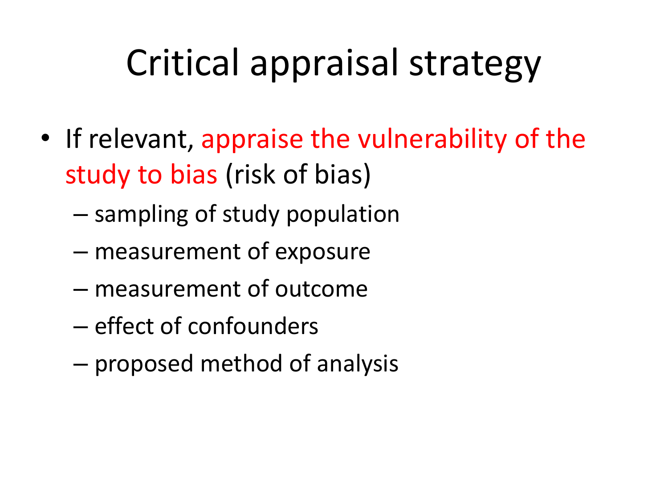# Critical appraisal strategy

- If relevant, appraise the vulnerability of the study to bias (risk of bias)
	- sampling of study population
	- measurement of exposure
	- measurement of outcome
	- effect of confounders
	- proposed method of analysis